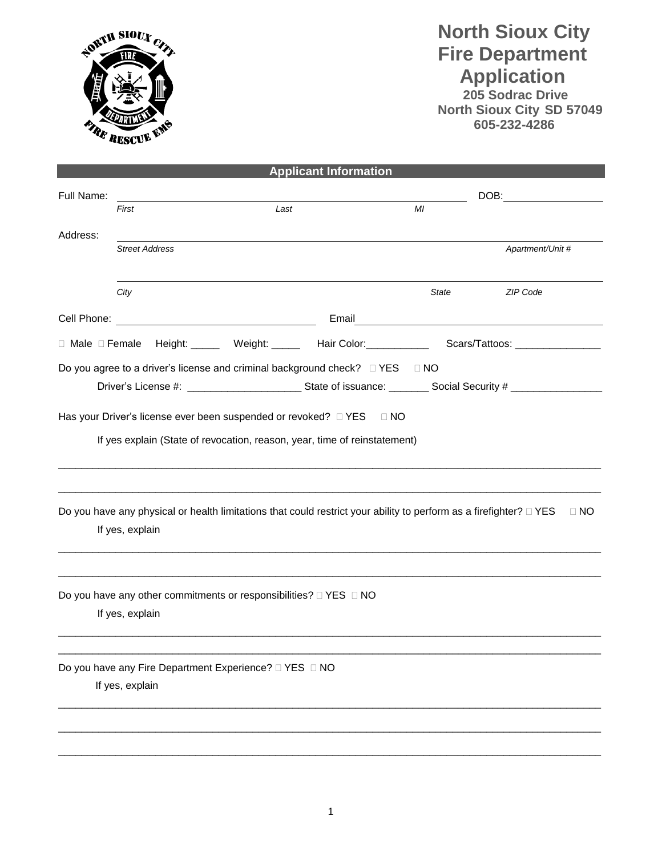

## **North Sioux City Fire Department Application**

 **205 Sodrac Drive North Sioux City SD 57049 605-232-4286**

|                 |                       |  |                                                                             | <b>Applicant Information</b>                                                                                            |              |                                                                                                     |
|-----------------|-----------------------|--|-----------------------------------------------------------------------------|-------------------------------------------------------------------------------------------------------------------------|--------------|-----------------------------------------------------------------------------------------------------|
| Full Name:      |                       |  |                                                                             |                                                                                                                         |              | DOB:                                                                                                |
|                 | First                 |  | Last                                                                        |                                                                                                                         | MI           |                                                                                                     |
| Address:        |                       |  |                                                                             |                                                                                                                         |              |                                                                                                     |
|                 | <b>Street Address</b> |  |                                                                             |                                                                                                                         |              | Apartment/Unit #                                                                                    |
|                 |                       |  |                                                                             |                                                                                                                         |              |                                                                                                     |
|                 | City                  |  |                                                                             |                                                                                                                         | <b>State</b> | ZIP Code                                                                                            |
|                 |                       |  |                                                                             |                                                                                                                         |              | Email <u>_________________________________</u>                                                      |
|                 |                       |  |                                                                             |                                                                                                                         |              | □ Male □ Female Height: ______ Weight: ______ Hair Color:___________ Scars/Tattoos: _______________ |
|                 |                       |  |                                                                             | Do you agree to a driver's license and criminal background check? □ YES □ NO                                            |              |                                                                                                     |
|                 |                       |  |                                                                             |                                                                                                                         |              |                                                                                                     |
|                 |                       |  |                                                                             | $\Box$ NO                                                                                                               |              |                                                                                                     |
|                 |                       |  |                                                                             | If yes explain (State of revocation, reason, year, time of reinstatement)                                               |              |                                                                                                     |
|                 |                       |  |                                                                             |                                                                                                                         |              |                                                                                                     |
|                 |                       |  |                                                                             |                                                                                                                         |              |                                                                                                     |
|                 |                       |  |                                                                             | Do you have any physical or health limitations that could restrict your ability to perform as a firefighter? $\Box$ YES |              | $\Box$ NO                                                                                           |
|                 | If yes, explain       |  |                                                                             |                                                                                                                         |              |                                                                                                     |
|                 |                       |  |                                                                             |                                                                                                                         |              |                                                                                                     |
|                 |                       |  |                                                                             |                                                                                                                         |              |                                                                                                     |
|                 |                       |  | Do you have any other commitments or responsibilities? $\Box$ YES $\Box$ NO |                                                                                                                         |              |                                                                                                     |
| If yes, explain |                       |  |                                                                             |                                                                                                                         |              |                                                                                                     |
|                 |                       |  |                                                                             |                                                                                                                         |              |                                                                                                     |
|                 |                       |  |                                                                             |                                                                                                                         |              |                                                                                                     |
|                 |                       |  | Do you have any Fire Department Experience? □ YES □ NO                      |                                                                                                                         |              |                                                                                                     |
|                 | If yes, explain       |  |                                                                             |                                                                                                                         |              |                                                                                                     |
|                 |                       |  |                                                                             |                                                                                                                         |              |                                                                                                     |
|                 |                       |  |                                                                             |                                                                                                                         |              |                                                                                                     |
|                 |                       |  |                                                                             |                                                                                                                         |              |                                                                                                     |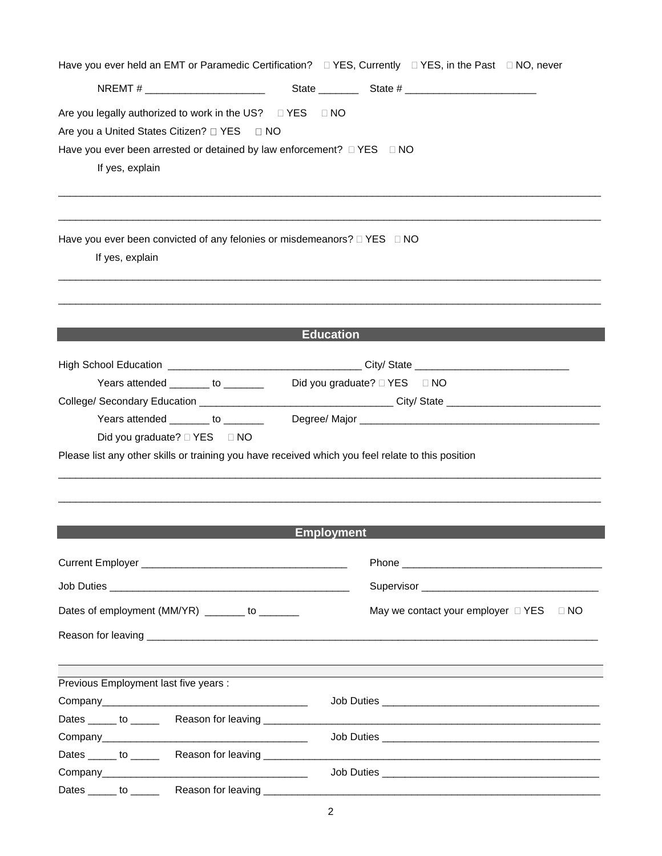|                                                                                                         | Have you ever held an EMT or Paramedic Certification? □ YES, Currently □ YES, in the Past □ NO, never                                |
|---------------------------------------------------------------------------------------------------------|--------------------------------------------------------------------------------------------------------------------------------------|
|                                                                                                         | NREMT # $\qquad \qquad$ State $\qquad \qquad$ State $\qquad \qquad$ State $\qquad \qquad$ State $\qquad \qquad$                      |
| Are you legally authorized to work in the US? □ YES □ NO<br>Are you a United States Citizen? □ YES □ NO |                                                                                                                                      |
| Have you ever been arrested or detained by law enforcement? $\Box$ YES $\Box$ NO<br>If yes, explain     |                                                                                                                                      |
| Have you ever been convicted of any felonies or misdemeanors? $\Box$ YES $\Box$ NO<br>If yes, explain   |                                                                                                                                      |
|                                                                                                         | <b>Education</b>                                                                                                                     |
|                                                                                                         |                                                                                                                                      |
| Years attended _______ to _______                                                                       | High School Education __________________________________City/ State ________________________________<br>Did you graduate? □ YES □ NO |
|                                                                                                         |                                                                                                                                      |
| Years attended _______ to _______                                                                       |                                                                                                                                      |
| Did you graduate? □ YES □ NO                                                                            |                                                                                                                                      |
| Please list any other skills or training you have received which you feel relate to this position       |                                                                                                                                      |
|                                                                                                         |                                                                                                                                      |
|                                                                                                         |                                                                                                                                      |
|                                                                                                         |                                                                                                                                      |
|                                                                                                         | <b>Employment</b>                                                                                                                    |
|                                                                                                         |                                                                                                                                      |
|                                                                                                         |                                                                                                                                      |
| Dates of employment (MM/YR) _______ to _______                                                          | May we contact your employer $\Box$ YES $\Box$ NO                                                                                    |
|                                                                                                         |                                                                                                                                      |
|                                                                                                         |                                                                                                                                      |
| Previous Employment last five years :                                                                   |                                                                                                                                      |
|                                                                                                         |                                                                                                                                      |
| Dates ______ to __________ Reason for leaving ____________                                              |                                                                                                                                      |
|                                                                                                         |                                                                                                                                      |
|                                                                                                         |                                                                                                                                      |
|                                                                                                         |                                                                                                                                      |
|                                                                                                         |                                                                                                                                      |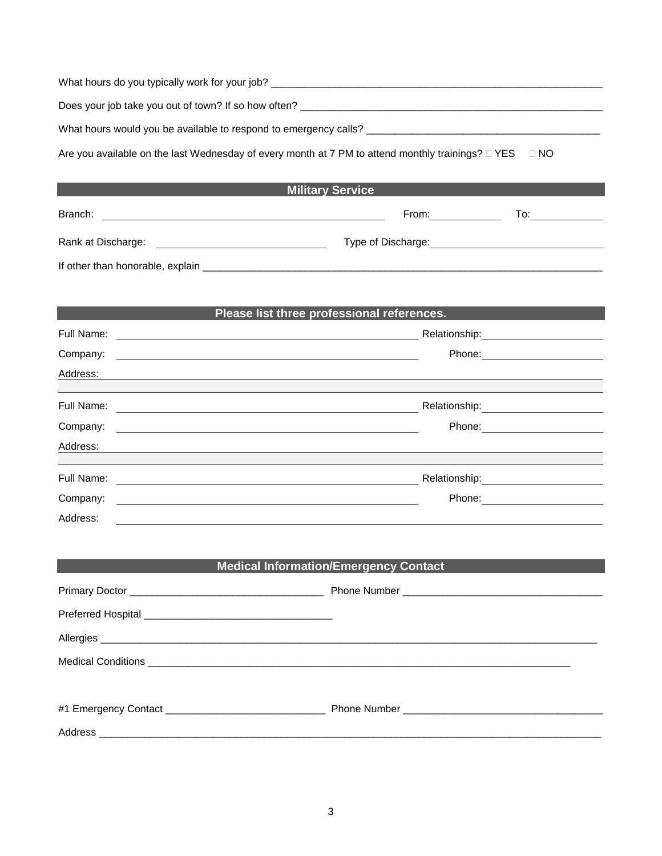| What hours do you typically work for your job?                                                                      |       |     |
|---------------------------------------------------------------------------------------------------------------------|-------|-----|
| Does your job take you out of town? If so how often?                                                                |       |     |
| What hours would you be available to respond to emergency calls?                                                    |       |     |
| Are you available on the last Wednesday of every month at 7 PM to attend monthly trainings? $\Box$ YES<br>$\Box$ NO |       |     |
| <b>Military Service</b>                                                                                             |       |     |
| Branch:                                                                                                             | From: | To: |

Rank at Discharge: Type of Discharge:

If other than honorable, explain \_\_\_\_\_\_\_\_\_\_\_\_\_\_\_\_\_\_\_\_\_\_\_\_\_\_\_\_\_\_\_\_\_\_\_\_\_\_\_\_\_\_\_\_\_\_\_\_\_\_\_\_\_\_\_\_\_\_\_\_\_\_\_\_\_\_\_\_\_\_

| Please list three professional references.                                                                                       |                                                                                                                                                                                                                                |  |
|----------------------------------------------------------------------------------------------------------------------------------|--------------------------------------------------------------------------------------------------------------------------------------------------------------------------------------------------------------------------------|--|
| Full Name:                                                                                                                       | Relationship:                                                                                                                                                                                                                  |  |
| Company:<br><u> 1980 - Jan Samuel Barbara, martin da shekarar 1980 - An tsara tsara tsara tsara tsara tsara tsara tsara tsar</u> | Phone: The contract of the contract of the contract of the contract of the contract of the contract of the contract of the contract of the contract of the contract of the contract of the contract of the contract of the con |  |
| Address:                                                                                                                         |                                                                                                                                                                                                                                |  |
| Full Name:                                                                                                                       |                                                                                                                                                                                                                                |  |
| Company:<br><u> 1989 - Andrea State Barbara, amerikan personal di sebagai personal di sebagai personal di sebagai personal d</u> | Phone: The contract of the contract of the contract of the contract of the contract of the contract of the contract of the contract of the contract of the contract of the contract of the contract of the contract of the con |  |
| Address:                                                                                                                         |                                                                                                                                                                                                                                |  |
| Full Name:                                                                                                                       | Relationship:                                                                                                                                                                                                                  |  |
| Company:                                                                                                                         | Phone:                                                                                                                                                                                                                         |  |
| Address:                                                                                                                         |                                                                                                                                                                                                                                |  |

| <b>Medical Information/Emergency Contact</b> |  |  |
|----------------------------------------------|--|--|
|                                              |  |  |
|                                              |  |  |
|                                              |  |  |
|                                              |  |  |
|                                              |  |  |
|                                              |  |  |
|                                              |  |  |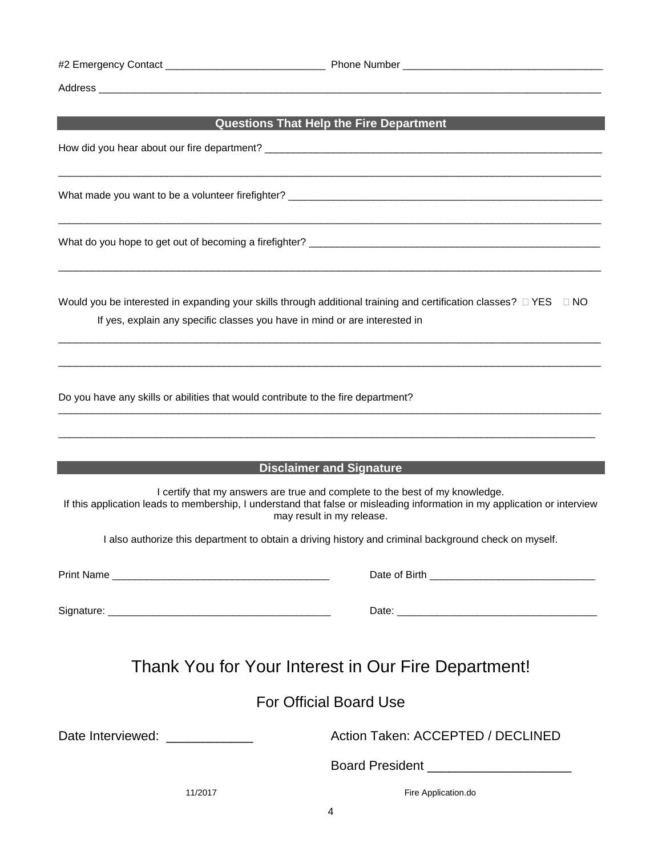| #2 Emergency Contact |
|----------------------|
|----------------------|

#2 Emergency Contact \_\_\_\_\_\_\_\_\_\_\_\_\_\_\_\_\_\_\_\_\_\_\_\_\_\_\_\_ Phone Number \_\_\_\_\_\_\_\_\_\_\_\_\_\_\_\_\_\_\_\_\_\_\_\_\_\_\_\_\_\_\_\_\_\_\_

Address \_\_\_\_\_\_\_\_\_\_\_\_\_\_\_\_\_\_\_\_\_\_\_\_\_\_\_\_\_\_\_\_\_\_\_\_\_\_\_\_\_\_\_\_\_\_\_\_\_\_\_\_\_\_\_\_\_\_\_\_\_\_\_\_\_\_\_\_\_\_\_\_\_\_\_\_\_\_\_\_\_\_\_\_\_\_\_\_

## **Questions That Help the Fire Department**

 $\overline{\phantom{a}}$  ,  $\overline{\phantom{a}}$  ,  $\overline{\phantom{a}}$  ,  $\overline{\phantom{a}}$  ,  $\overline{\phantom{a}}$  ,  $\overline{\phantom{a}}$  ,  $\overline{\phantom{a}}$  ,  $\overline{\phantom{a}}$  ,  $\overline{\phantom{a}}$  ,  $\overline{\phantom{a}}$  ,  $\overline{\phantom{a}}$  ,  $\overline{\phantom{a}}$  ,  $\overline{\phantom{a}}$  ,  $\overline{\phantom{a}}$  ,  $\overline{\phantom{a}}$  ,  $\overline{\phantom{a}}$ 

 $\overline{\phantom{a}}$  ,  $\overline{\phantom{a}}$  ,  $\overline{\phantom{a}}$  ,  $\overline{\phantom{a}}$  ,  $\overline{\phantom{a}}$  ,  $\overline{\phantom{a}}$  ,  $\overline{\phantom{a}}$  ,  $\overline{\phantom{a}}$  ,  $\overline{\phantom{a}}$  ,  $\overline{\phantom{a}}$  ,  $\overline{\phantom{a}}$  ,  $\overline{\phantom{a}}$  ,  $\overline{\phantom{a}}$  ,  $\overline{\phantom{a}}$  ,  $\overline{\phantom{a}}$  ,  $\overline{\phantom{a}}$ 

 $\overline{\phantom{a}}$  ,  $\overline{\phantom{a}}$  ,  $\overline{\phantom{a}}$  ,  $\overline{\phantom{a}}$  ,  $\overline{\phantom{a}}$  ,  $\overline{\phantom{a}}$  ,  $\overline{\phantom{a}}$  ,  $\overline{\phantom{a}}$  ,  $\overline{\phantom{a}}$  ,  $\overline{\phantom{a}}$  ,  $\overline{\phantom{a}}$  ,  $\overline{\phantom{a}}$  ,  $\overline{\phantom{a}}$  ,  $\overline{\phantom{a}}$  ,  $\overline{\phantom{a}}$  ,  $\overline{\phantom{a}}$ 

How did you hear about our fire department? \_\_\_\_\_\_\_\_\_\_\_\_\_\_\_\_\_\_\_\_\_\_\_\_\_\_\_\_\_\_\_\_\_\_\_\_\_\_\_\_\_\_\_\_\_\_\_\_\_\_\_\_\_\_\_\_\_\_\_

What made you want to be a volunteer firefighter? \_\_\_\_\_\_\_\_\_\_\_\_\_\_\_\_\_\_\_\_\_\_\_\_\_\_\_\_\_\_\_\_\_\_\_\_\_\_\_\_\_\_\_\_\_\_\_\_\_\_\_\_\_\_\_

What do you hope to get out of becoming a firefighter? \_\_\_\_\_\_\_\_\_\_\_\_\_\_\_\_\_\_\_\_\_\_\_\_\_\_\_\_\_\_\_\_\_\_\_\_\_\_\_\_\_\_\_\_\_\_\_\_\_\_\_

Would you be interested in expanding your skills through additional training and certification classes?  $\Box$  YES  $\Box$  NO If yes, explain any specific classes you have in mind or are interested in

 $\overline{\phantom{a}}$  ,  $\overline{\phantom{a}}$  ,  $\overline{\phantom{a}}$  ,  $\overline{\phantom{a}}$  ,  $\overline{\phantom{a}}$  ,  $\overline{\phantom{a}}$  ,  $\overline{\phantom{a}}$  ,  $\overline{\phantom{a}}$  ,  $\overline{\phantom{a}}$  ,  $\overline{\phantom{a}}$  ,  $\overline{\phantom{a}}$  ,  $\overline{\phantom{a}}$  ,  $\overline{\phantom{a}}$  ,  $\overline{\phantom{a}}$  ,  $\overline{\phantom{a}}$  ,  $\overline{\phantom{a}}$ 

 $\overline{\phantom{a}}$  ,  $\overline{\phantom{a}}$  ,  $\overline{\phantom{a}}$  ,  $\overline{\phantom{a}}$  ,  $\overline{\phantom{a}}$  ,  $\overline{\phantom{a}}$  ,  $\overline{\phantom{a}}$  ,  $\overline{\phantom{a}}$  ,  $\overline{\phantom{a}}$  ,  $\overline{\phantom{a}}$  ,  $\overline{\phantom{a}}$  ,  $\overline{\phantom{a}}$  ,  $\overline{\phantom{a}}$  ,  $\overline{\phantom{a}}$  ,  $\overline{\phantom{a}}$  ,  $\overline{\phantom{a}}$ 

 $\overline{\phantom{a}}$  ,  $\overline{\phantom{a}}$  ,  $\overline{\phantom{a}}$  ,  $\overline{\phantom{a}}$  ,  $\overline{\phantom{a}}$  ,  $\overline{\phantom{a}}$  ,  $\overline{\phantom{a}}$  ,  $\overline{\phantom{a}}$  ,  $\overline{\phantom{a}}$  ,  $\overline{\phantom{a}}$  ,  $\overline{\phantom{a}}$  ,  $\overline{\phantom{a}}$  ,  $\overline{\phantom{a}}$  ,  $\overline{\phantom{a}}$  ,  $\overline{\phantom{a}}$  ,  $\overline{\phantom{a}}$ 

\_\_\_\_\_\_\_\_\_\_\_\_\_\_\_\_\_\_\_\_\_\_\_\_\_\_\_\_\_\_\_\_\_\_\_\_\_\_\_\_\_\_\_\_\_\_\_\_\_\_\_\_\_\_\_\_\_\_\_\_\_\_\_\_\_\_\_\_\_\_\_\_\_\_\_\_\_\_\_\_\_\_\_\_\_\_\_\_\_\_\_\_\_\_

Do you have any skills or abilities that would contribute to the fire department?

|                                                                                                                                                                                                                                        | <b>Disclaimer and Signature</b>                                                                       |  |  |
|----------------------------------------------------------------------------------------------------------------------------------------------------------------------------------------------------------------------------------------|-------------------------------------------------------------------------------------------------------|--|--|
| I certify that my answers are true and complete to the best of my knowledge.<br>If this application leads to membership, I understand that false or misleading information in my application or interview<br>may result in my release. |                                                                                                       |  |  |
|                                                                                                                                                                                                                                        | I also authorize this department to obtain a driving history and criminal background check on myself. |  |  |
|                                                                                                                                                                                                                                        |                                                                                                       |  |  |
|                                                                                                                                                                                                                                        |                                                                                                       |  |  |
|                                                                                                                                                                                                                                        | Thank You for Your Interest in Our Fire Department!                                                   |  |  |
|                                                                                                                                                                                                                                        | <b>For Official Board Use</b>                                                                         |  |  |
| Date Interviewed: ____________                                                                                                                                                                                                         | Action Taken: ACCEPTED / DECLINED                                                                     |  |  |
|                                                                                                                                                                                                                                        | <b>Board President Exercise 2008</b>                                                                  |  |  |
| 11/2017                                                                                                                                                                                                                                | Fire Application.do                                                                                   |  |  |